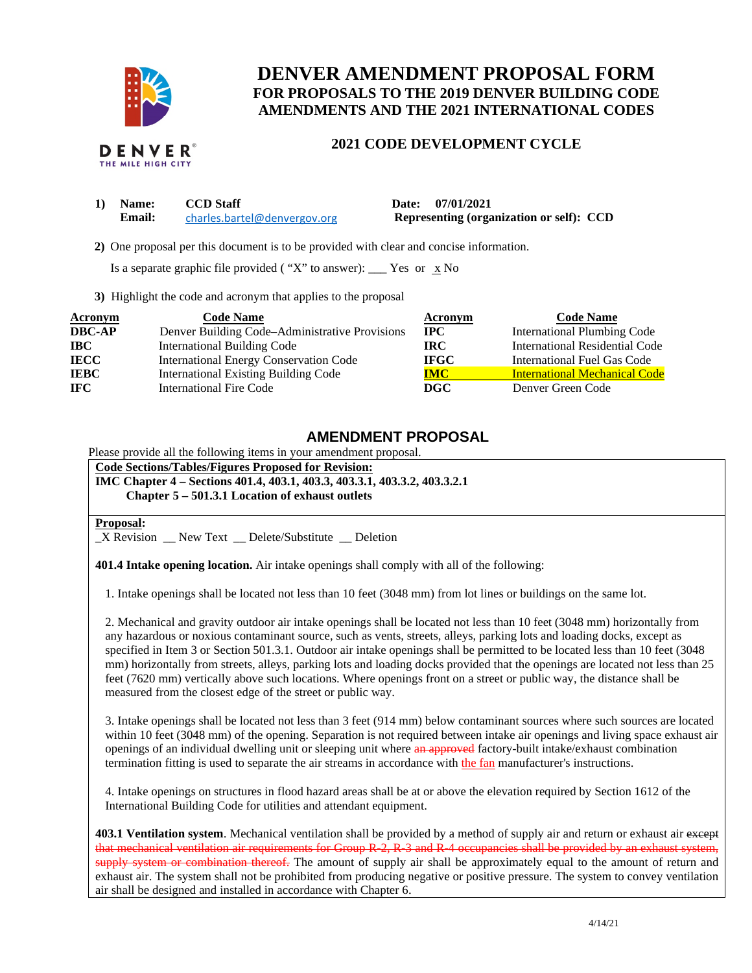

# **DENVER AMENDMENT PROPOSAL FORM FOR PROPOSALS TO THE 2019 DENVER BUILDING CODE AMENDMENTS AND THE 2021 INTERNATIONAL CODES**

## **2021 CODE DEVELOPMENT CYCLE**

| 1) Name: | <b>CCD</b> Staff             | Date: 07/01/2021                         |
|----------|------------------------------|------------------------------------------|
| Email:   | charles.bartel@denvergov.org | Representing (organization or self): CCD |

 **2)** One proposal per this document is to be provided with clear and concise information.

Is a separate graphic file provided ("X" to answer): \_\_\_ Yes or  $\overline{\mathbf{x}}$  No

**3)** Highlight the code and acronym that applies to the proposal

| Acronym       | <b>Code Name</b>                               | Acronym     | <b>Code Name</b>                     |
|---------------|------------------------------------------------|-------------|--------------------------------------|
| <b>DBC-AP</b> | Denver Building Code–Administrative Provisions | IPC.        | <b>International Plumbing Code</b>   |
| $\bf IBC$     | <b>International Building Code</b>             | IRC.        | International Residential Code       |
| <b>IECC</b>   | <b>International Energy Conservation Code</b>  | <b>IFGC</b> | International Fuel Gas Code          |
| <b>IEBC</b>   | <b>International Existing Building Code</b>    | <b>IMC</b>  | <b>International Mechanical Code</b> |
| <b>IFC</b>    | <b>International Fire Code</b>                 | DGC         | Denver Green Code                    |

# **AMENDMENT PROPOSAL**

Please provide all the following items in your amendment proposal.

**Code Sections/Tables/Figures Proposed for Revision:** 

**IMC Chapter 4 – Sections 401.4, 403.1, 403.3, 403.3.1, 403.3.2, 403.3.2.1** 

**Chapter 5 – 501.3.1 Location of exhaust outlets** 

#### **Proposal:**

\_X Revision \_\_ New Text \_\_ Delete/Substitute \_\_ Deletion

**401.4 Intake opening location.** Air intake openings shall comply with all of the following:

1. Intake openings shall be located not less than 10 feet (3048 mm) from lot lines or buildings on the same lot.

2. Mechanical and gravity outdoor air intake openings shall be located not less than 10 feet (3048 mm) horizontally from any hazardous or noxious contaminant source, such as vents, streets, alleys, parking lots and loading docks, except as specified in Item 3 or Section 501.3.1. Outdoor air intake openings shall be permitted to be located less than 10 feet (3048 mm) horizontally from streets, alleys, parking lots and loading docks provided that the openings are located not less than 25 feet (7620 mm) vertically above such locations. Where openings front on a street or public way, the distance shall be measured from the closest edge of the street or public way.

3. Intake openings shall be located not less than 3 feet (914 mm) below contaminant sources where such sources are located within 10 feet (3048 mm) of the opening. Separation is not required between intake air openings and living space exhaust air openings of an individual dwelling unit or sleeping unit where an approved factory-built intake/exhaust combination termination fitting is used to separate the air streams in accordance with the fan manufacturer's instructions.

4. Intake openings on structures in flood hazard areas shall be at or above the elevation required by Section 1612 of the International Building Code for utilities and attendant equipment.

**403.1 Ventilation system**. Mechanical ventilation shall be provided by a method of supply air and return or exhaust air except that mechanical ventilation air requirements for Group R 2, R 3 and R 4 occupancies shall be provided by an exhaust system, supply system or combination thereof. The amount of supply air shall be approximately equal to the amount of return and exhaust air. The system shall not be prohibited from producing negative or positive pressure. The system to convey ventilation air shall be designed and installed in accordance with Chapter 6.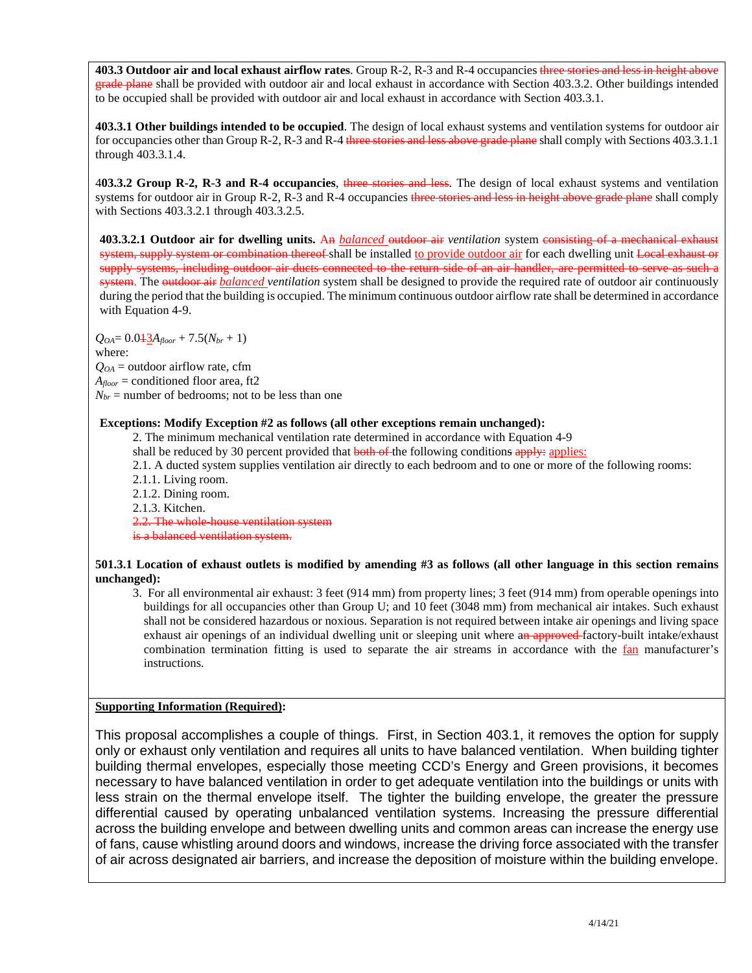**403.3 Outdoor air and local exhaust airflow rates**. Group R-2, R-3 and R-4 occupancies three stories and less in height above grade plane shall be provided with outdoor air and local exhaust in accordance with Section 403.3.2. Other buildings intended to be occupied shall be provided with outdoor air and local exhaust in accordance with Section 403.3.1.

**403.3.1 Other buildings intended to be occupied**. The design of local exhaust systems and ventilation systems for outdoor air for occupancies other than Group R-2, R-3 and R-4 three stories and less above grade plane shall comply with Sections 403.3.1.1 through 403.3.1.4.

4**03.3.2 Group R-2, R-3 and R-4 occupancies**, three stories and less. The design of local exhaust systems and ventilation systems for outdoor air in Group R-2, R- $\overline{3}$  and R-4 occupancies three stories and less in height above grade plane shall comply with Sections 403.3.2.1 through 403.3.2.5.

**403.3.2.1 Outdoor air for dwelling units.** An *balanced* outdoor air *ventilation* system consisting of a mechanical exhaust system, supply system or combination thereof shall be installed to provide outdoor air for each dwelling unit Local exhaust or supply systems, including outdoor air ducts connected to the return side of an air handler, are permitted to serve as such a system. The outdoor air *balanced ventilation* system shall be designed to provide the required rate of outdoor air continuously during the period that the building is occupied. The minimum continuous outdoor airflow rate shall be determined in accordance with Equation 4-9.

 $Q_{OA} = 0.043A_{floor} + 7.5(N_{br} + 1)$ 

where:

 $Q_{OA}$  = outdoor airflow rate, cfm

 $A_{floor}$  = conditioned floor area, ft2

 $N_{br}$  = number of bedrooms; not to be less than one

### **Exceptions: Modify Exception #2 as follows (all other exceptions remain unchanged):**

2. The minimum mechanical ventilation rate determined in accordance with Equation 4-9

shall be reduced by 30 percent provided that **both of the following conditions apply:** applies:

2.1. A ducted system supplies ventilation air directly to each bedroom and to one or more of the following rooms: 2.1.1. Living room.

2.1.2. Dining room.

2.1.3. Kitchen.

2.2. The whole house ventilation system

is a balanced ventilation system.

### **501.3.1 Location of exhaust outlets is modified by amending #3 as follows (all other language in this section remains unchanged):**

3. For all environmental air exhaust: 3 feet (914 mm) from property lines; 3 feet (914 mm) from operable openings into buildings for all occupancies other than Group U; and 10 feet (3048 mm) from mechanical air intakes. Such exhaust shall not be considered hazardous or noxious. Separation is not required between intake air openings and living space exhaust air openings of an individual dwelling unit or sleeping unit where an approved factory-built intake/exhaust combination termination fitting is used to separate the air streams in accordance with the fan manufacturer's instructions.

# **Supporting Information (Required):**

This proposal accomplishes a couple of things. First, in Section 403.1, it removes the option for supply only or exhaust only ventilation and requires all units to have balanced ventilation. When building tighter building thermal envelopes, especially those meeting CCD's Energy and Green provisions, it becomes necessary to have balanced ventilation in order to get adequate ventilation into the buildings or units with less strain on the thermal envelope itself. The tighter the building envelope, the greater the pressure differential caused by operating unbalanced ventilation systems. Increasing the pressure differential across the building envelope and between dwelling units and common areas can increase the energy use of fans, cause whistling around doors and windows, increase the driving force associated with the transfer of air across designated air barriers, and increase the deposition of moisture within the building envelope.